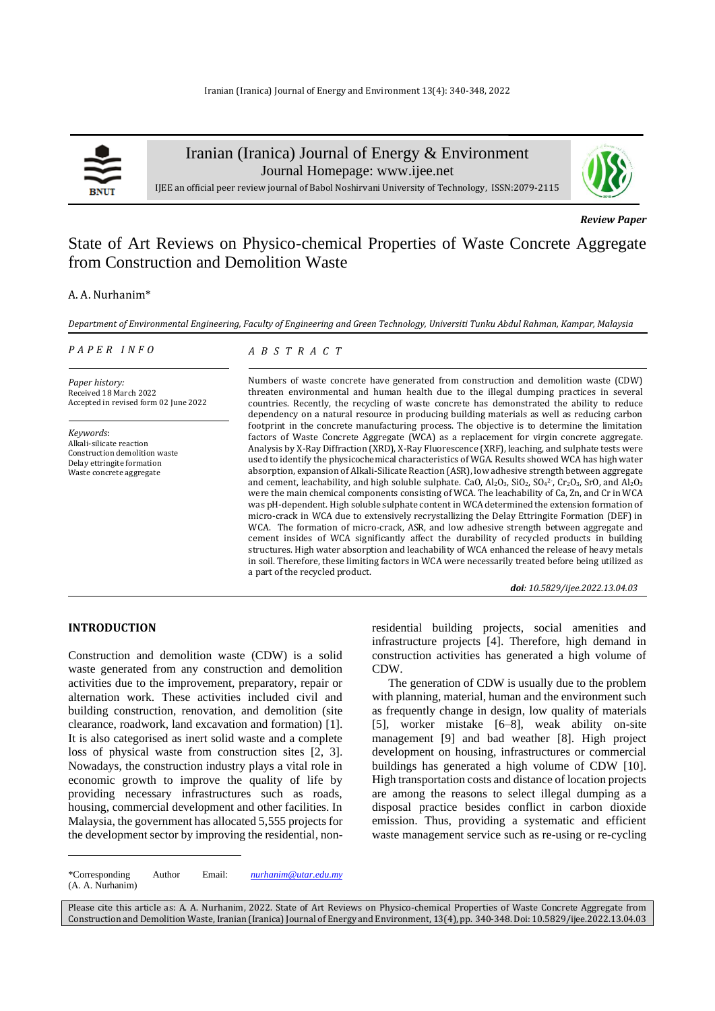

Iranian (Iranica) Journal of Energy & Environment

Journal Homepage: [www.ijee.net](http://www.ijee.net/)



IJEE an official peer review journal of Babol Noshirvani University of Technology, ISSN:2079-2115

*Review Paper* 

# State of Art Reviews on Physico-chemical Properties of Waste Concrete Aggregate from Construction and Demolition Waste

# A. A. Nurhanim\*

*Department of Environmental Engineering, Faculty of Engineering and Green Technology, Universiti Tunku Abdul Rahman, Kampar, Malaysia*

#### *P A P E R I N F O*

*A B S T R A C T*

*Paper history:* Received 18 March 2022 Accepted in revised form 02 June 2022

*Keywords*: Alkali-silicate reaction Construction demolition waste Delay ettringite formation Waste concrete aggregate

Numbers of waste concrete have generated from construction and demolition waste (CDW) threaten environmental and human health due to the illegal dumping practices in several countries. Recently, the recycling of waste concrete has demonstrated the ability to reduce dependency on a natural resource in producing building materials as well as reducing carbon footprint in the concrete manufacturing process. The objective is to determine the limitation factors of Waste Concrete Aggregate (WCA) as a replacement for virgin concrete aggregate. Analysis by X-Ray Diffraction (XRD), X-Ray Fluorescence (XRF), leaching, and sulphate tests were used to identify the physicochemical characteristics of WGA. Results showed WCA has high water absorption, expansion of Alkali-Silicate Reaction (ASR), low adhesive strength between aggregate and cement, leachability, and high soluble sulphate. CaO,  $Al_2O_3$ , SiO<sub>2</sub>, SO<sub>4</sub><sup>2</sup>, Cr<sub>2</sub>O<sub>3</sub>, SrO, and  $Al_2O_3$ were the main chemical components consisting of WCA. The leachability of Ca, Zn, and Cr in WCA was pH-dependent. High soluble sulphate content in WCA determined the extension formation of micro-crack in WCA due to extensively recrystallizing the Delay Ettringite Formation (DEF) in WCA. The formation of micro-crack, ASR, and low adhesive strength between aggregate and cement insides of WCA significantly affect the durability of recycled products in building structures. High water absorption and leachability of WCA enhanced the release of heavy metals in soil. Therefore, these limiting factors in WCA were necessarily treated before being utilized as a part of the recycled product.

*doi: 10.5829/ijee.2022.13.04.03*

# **INTRODUCTION**

Construction and demolition waste (CDW) is a solid waste generated from any construction and demolition activities due to the improvement, preparatory, repair or alternation work. These activities included civil and building construction, renovation, and demolition (site clearance, roadwork, land excavation and formation) [1]. It is also categorised as inert solid waste and a complete loss of physical waste from construction sites [2, 3]. Nowadays, the construction industry plays a vital role in economic growth to improve the quality of life by providing necessary infrastructures such as roads, housing, commercial development and other facilities. In Malaysia, the government has allocated 5,555 projects for the development sector by improving the residential, nonresidential building projects, social amenities and infrastructure projects [4]. Therefore, high demand in construction activities has generated a high volume of CDW.

The generation of CDW is usually due to the problem with planning, material, human and the environment such as frequently change in design, low quality of materials [5], worker mistake [6–8], weak ability on-site management [9] and bad weather [8]. High project development on housing, infrastructures or commercial buildings has generated a high volume of CDW [10]. High transportation costs and distance of location projects are among the reasons to select illegal dumping as a disposal practice besides conflict in carbon dioxide emission. Thus, providing a systematic and efficient waste management service such as re-using or re-cycling

<sup>\*</sup>Corresponding Author Email: *[nurhanim@utar.edu.my](mailto:nurhanim@utar.edu.my)* (A. A. Nurhanim)

Please cite this article as: A. A. Nurhanim, 2022. State of Art Reviews on Physico-chemical Properties of Waste Concrete Aggregate from Construction and Demolition Waste, Iranian (Iranica) Journal of Energy and Environment, 13(4), pp. 340-348. Doi: 10.5829/ijee.2022.13.04.03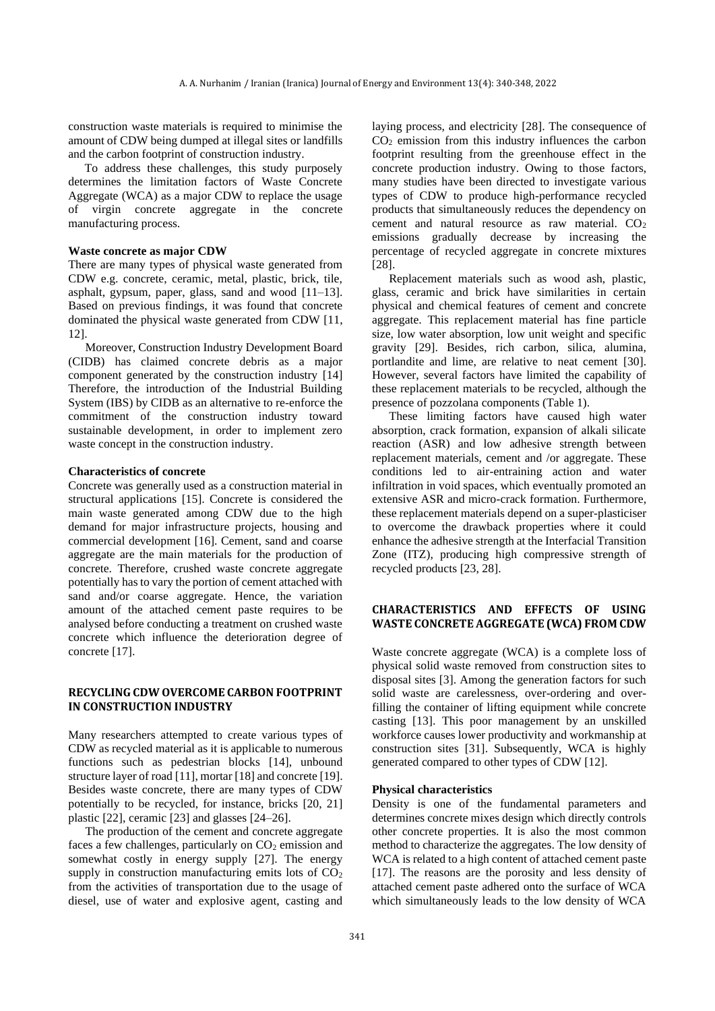construction waste materials is required to minimise the amount of CDW being dumped at illegal sites or landfills and the carbon footprint of construction industry.

To address these challenges, this study purposely determines the limitation factors of Waste Concrete Aggregate (WCA) as a major CDW to replace the usage of virgin concrete aggregate in the concrete manufacturing process.

# **Waste concrete as major CDW**

There are many types of physical waste generated from CDW e.g. concrete, ceramic, metal, plastic, brick, tile, asphalt, gypsum, paper, glass, sand and wood [11–13]. Based on previous findings, it was found that concrete dominated the physical waste generated from CDW [11, 12].

Moreover, Construction Industry Development Board (CIDB) has claimed concrete debris as a major component generated by the construction industry [14] Therefore, the introduction of the Industrial Building System (IBS) by CIDB as an alternative to re-enforce the commitment of the construction industry toward sustainable development, in order to implement zero waste concept in the construction industry.

#### **Characteristics of concrete**

Concrete was generally used as a construction material in structural applications [15]. Concrete is considered the main waste generated among CDW due to the high demand for major infrastructure projects, housing and commercial development [16]. Cement, sand and coarse aggregate are the main materials for the production of concrete. Therefore, crushed waste concrete aggregate potentially has to vary the portion of cement attached with sand and/or coarse aggregate. Hence, the variation amount of the attached cement paste requires to be analysed before conducting a treatment on crushed waste concrete which influence the deterioration degree of concrete [17].

# **RECYCLING CDW OVERCOME CARBON FOOTPRINT IN CONSTRUCTION INDUSTRY**

Many researchers attempted to create various types of CDW as recycled material as it is applicable to numerous functions such as pedestrian blocks [14], unbound structure layer of road [11], mortar [18] and concrete [19]. Besides waste concrete, there are many types of CDW potentially to be recycled, for instance, bricks [20, 21] plastic [22], ceramic [23] and glasses [24–26].

The production of the cement and concrete aggregate faces a few challenges, particularly on  $CO<sub>2</sub>$  emission and somewhat costly in energy supply [27]. The energy supply in construction manufacturing emits lots of  $CO<sub>2</sub>$ from the activities of transportation due to the usage of diesel, use of water and explosive agent, casting and laying process, and electricity [28]. The consequence of  $CO<sub>2</sub>$  emission from this industry influences the carbon footprint resulting from the greenhouse effect in the concrete production industry. Owing to those factors, many studies have been directed to investigate various types of CDW to produce high-performance recycled products that simultaneously reduces the dependency on cement and natural resource as raw material.  $CO<sub>2</sub>$ emissions gradually decrease by increasing the percentage of recycled aggregate in concrete mixtures [28].

Replacement materials such as wood ash, plastic, glass, ceramic and brick have similarities in certain physical and chemical features of cement and concrete aggregate. This replacement material has fine particle size, low water absorption, low unit weight and specific gravity [29]. Besides, rich carbon, silica, alumina, portlandite and lime, are relative to neat cement [30]. However, several factors have limited the capability of these replacement materials to be recycled, although the presence of pozzolana components (Table 1).

These limiting factors have caused high water absorption, crack formation, expansion of alkali silicate reaction (ASR) and low adhesive strength between replacement materials, cement and /or aggregate. These conditions led to air-entraining action and water infiltration in void spaces, which eventually promoted an extensive ASR and micro-crack formation. Furthermore, these replacement materials depend on a super-plasticiser to overcome the drawback properties where it could enhance the adhesive strength at the Interfacial Transition Zone (ITZ), producing high compressive strength of recycled products [23, 28].

# **CHARACTERISTICS AND EFFECTS OF USING WASTE CONCRETE AGGREGATE (WCA) FROM CDW**

Waste concrete aggregate (WCA) is a complete loss of physical solid waste removed from construction sites to disposal sites [3]. Among the generation factors for such solid waste are carelessness, over-ordering and overfilling the container of lifting equipment while concrete casting [13]. This poor management by an unskilled workforce causes lower productivity and workmanship at construction sites [31]. Subsequently, WCA is highly generated compared to other types of CDW [12].

#### **Physical characteristics**

Density is one of the fundamental parameters and determines concrete mixes design which directly controls other concrete properties. It is also the most common method to characterize the aggregates. The low density of WCA is related to a high content of attached cement paste [17]. The reasons are the porosity and less density of attached cement paste adhered onto the surface of WCA which simultaneously leads to the low density of WCA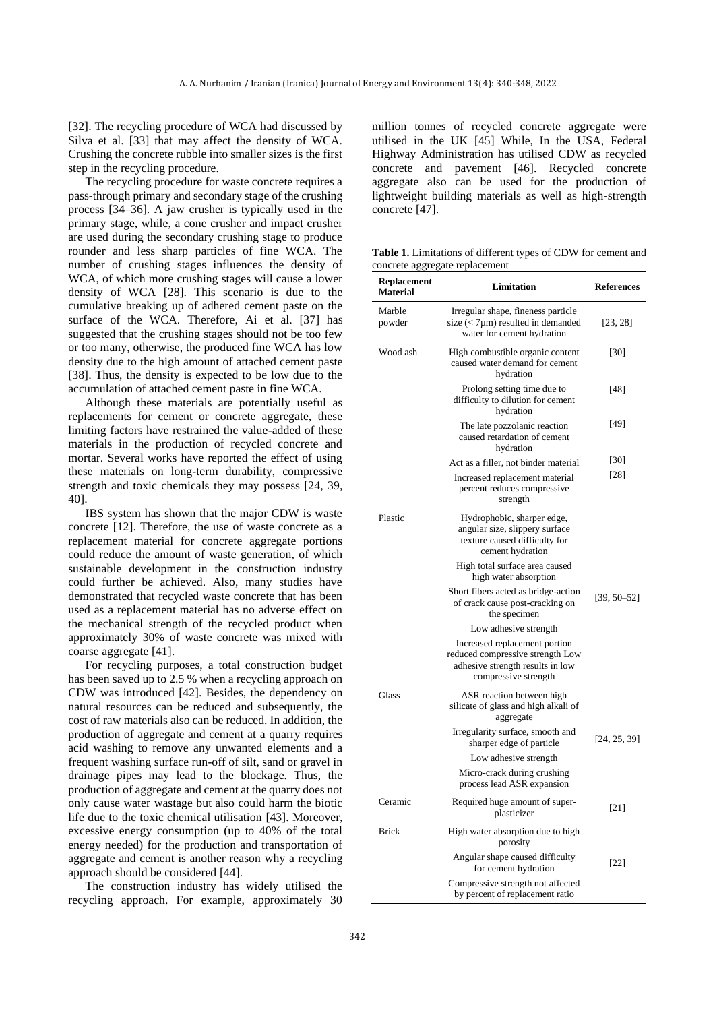[32]. The recycling procedure of WCA had discussed by Silva et al. [33] that may affect the density of WCA. Crushing the concrete rubble into smaller sizes is the first step in the recycling procedure.

The recycling procedure for waste concrete requires a pass-through primary and secondary stage of the crushing process [34–36]. A jaw crusher is typically used in the primary stage, while, a cone crusher and impact crusher are used during the secondary crushing stage to produce rounder and less sharp particles of fine WCA. The number of crushing stages influences the density of WCA, of which more crushing stages will cause a lower density of WCA [28]. This scenario is due to the cumulative breaking up of adhered cement paste on the surface of the WCA. Therefore, Ai et al. [37] has suggested that the crushing stages should not be too few or too many, otherwise, the produced fine WCA has low density due to the high amount of attached cement paste [38]. Thus, the density is expected to be low due to the accumulation of attached cement paste in fine WCA.

Although these materials are potentially useful as replacements for cement or concrete aggregate, these limiting factors have restrained the value-added of these materials in the production of recycled concrete and mortar. Several works have reported the effect of using these materials on long-term durability, compressive strength and toxic chemicals they may possess [24, 39, 40].

IBS system has shown that the major CDW is waste concrete [12]. Therefore, the use of waste concrete as a replacement material for concrete aggregate portions could reduce the amount of waste generation, of which sustainable development in the construction industry could further be achieved. Also, many studies have demonstrated that recycled waste concrete that has been used as a replacement material has no adverse effect on the mechanical strength of the recycled product when approximately 30% of waste concrete was mixed with coarse aggregate [41].

For recycling purposes, a total construction budget has been saved up to 2.5 % when a recycling approach on CDW was introduced [42]. Besides, the dependency on natural resources can be reduced and subsequently, the cost of raw materials also can be reduced. In addition, the production of aggregate and cement at a quarry requires acid washing to remove any unwanted elements and a frequent washing surface run-off of silt, sand or gravel in drainage pipes may lead to the blockage. Thus, the production of aggregate and cement at the quarry does not only cause water wastage but also could harm the biotic life due to the toxic chemical utilisation [43]. Moreover, excessive energy consumption (up to 40% of the total energy needed) for the production and transportation of aggregate and cement is another reason why a recycling approach should be considered [44].

The construction industry has widely utilised the recycling approach. For example, approximately 30 million tonnes of recycled concrete aggregate were utilised in the UK [45] While, In the USA, Federal Highway Administration has utilised CDW as recycled concrete and pavement [46]. Recycled concrete aggregate also can be used for the production of lightweight building materials as well as high-strength concrete [47].

**Table 1.** Limitations of different types of CDW for cement and concrete aggregate replacement

| <b>Replacement</b><br><b>Material</b> | Limitation                                                                                                                    | <b>References</b> |
|---------------------------------------|-------------------------------------------------------------------------------------------------------------------------------|-------------------|
| Marble<br>powder                      | Irregular shape, fineness particle<br>size $(< 7 \mu m)$ resulted in demanded<br>water for cement hydration                   | [23, 28]          |
| Wood ash                              | High combustible organic content<br>caused water demand for cement<br>hydration                                               | $[30]$            |
|                                       | Prolong setting time due to<br>difficulty to dilution for cement<br>hydration                                                 | [48]              |
|                                       | The late pozzolanic reaction<br>caused retardation of cement<br>hydration                                                     | [49]              |
|                                       | Act as a filler, not binder material                                                                                          | $[30]$            |
|                                       | Increased replacement material<br>percent reduces compressive<br>strength                                                     | $[28]$            |
| Plastic                               | Hydrophobic, sharper edge,<br>angular size, slippery surface<br>texture caused difficulty for<br>cement hydration             |                   |
|                                       | High total surface area caused<br>high water absorption                                                                       |                   |
|                                       | Short fibers acted as bridge-action<br>of crack cause post-cracking on<br>the specimen                                        | $[39, 50 - 52]$   |
|                                       | Low adhesive strength                                                                                                         |                   |
|                                       | Increased replacement portion<br>reduced compressive strength Low<br>adhesive strength results in low<br>compressive strength |                   |
| Glass                                 | ASR reaction between high<br>silicate of glass and high alkali of<br>aggregate                                                |                   |
|                                       | Irregularity surface, smooth and<br>sharper edge of particle                                                                  | [24, 25, 39]      |
|                                       | Low adhesive strength                                                                                                         |                   |
|                                       | Micro-crack during crushing<br>process lead ASR expansion                                                                     |                   |
| Ceramic                               | Required huge amount of super-<br>plasticizer                                                                                 | [21]              |
| <b>Brick</b>                          | High water absorption due to high<br>porosity                                                                                 |                   |
|                                       | Angular shape caused difficulty<br>for cement hydration                                                                       | $[22]$            |
|                                       | Compressive strength not affected<br>by percent of replacement ratio                                                          |                   |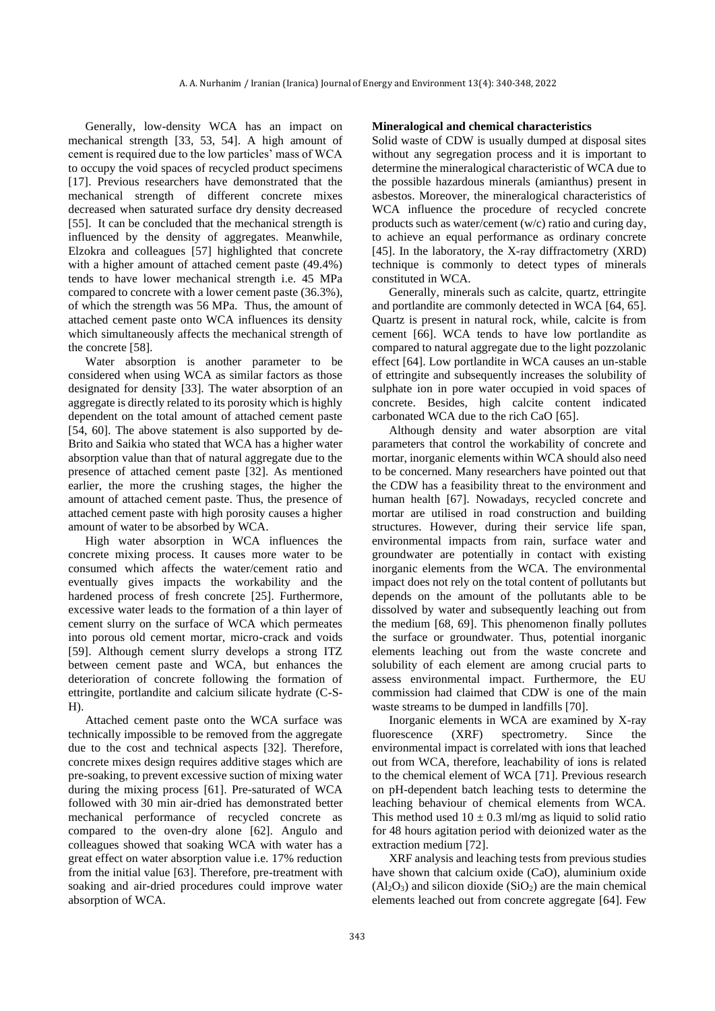Generally, low-density WCA has an impact on mechanical strength [33, 53, 54]. A high amount of cement is required due to the low particles' mass of WCA to occupy the void spaces of recycled product specimens [17]. Previous researchers have demonstrated that the mechanical strength of different concrete mixes decreased when saturated surface dry density decreased [55]. It can be concluded that the mechanical strength is influenced by the density of aggregates. Meanwhile, Elzokra and colleagues [57] highlighted that concrete with a higher amount of attached cement paste (49.4%) tends to have lower mechanical strength i.e. 45 MPa compared to concrete with a lower cement paste (36.3%), of which the strength was 56 MPa. Thus, the amount of attached cement paste onto WCA influences its density which simultaneously affects the mechanical strength of the concrete [58].

Water absorption is another parameter to be considered when using WCA as similar factors as those designated for density [33]. The water absorption of an aggregate is directly related to its porosity which is highly dependent on the total amount of attached cement paste [54, 60]. The above statement is also supported by de-Brito and Saikia who stated that WCA has a higher water absorption value than that of natural aggregate due to the presence of attached cement paste [32]. As mentioned earlier, the more the crushing stages, the higher the amount of attached cement paste. Thus, the presence of attached cement paste with high porosity causes a higher amount of water to be absorbed by WCA.

High water absorption in WCA influences the concrete mixing process. It causes more water to be consumed which affects the water/cement ratio and eventually gives impacts the workability and the hardened process of fresh concrete [25]. Furthermore, excessive water leads to the formation of a thin layer of cement slurry on the surface of WCA which permeates into porous old cement mortar, micro-crack and voids [59]. Although cement slurry develops a strong ITZ between cement paste and WCA, but enhances the deterioration of concrete following the formation of ettringite, portlandite and calcium silicate hydrate (C-S-H).

Attached cement paste onto the WCA surface was technically impossible to be removed from the aggregate due to the cost and technical aspects [32]. Therefore, concrete mixes design requires additive stages which are pre-soaking, to prevent excessive suction of mixing water during the mixing process [61]. Pre-saturated of WCA followed with 30 min air-dried has demonstrated better mechanical performance of recycled concrete as compared to the oven-dry alone [62]. Angulo and colleagues showed that soaking WCA with water has a great effect on water absorption value i.e. 17% reduction from the initial value [63]. Therefore, pre-treatment with soaking and air-dried procedures could improve water absorption of WCA.

#### **Mineralogical and chemical characteristics**

Solid waste of CDW is usually dumped at disposal sites without any segregation process and it is important to determine the mineralogical characteristic of WCA due to the possible hazardous minerals (amianthus) present in asbestos. Moreover, the mineralogical characteristics of WCA influence the procedure of recycled concrete products such as water/cement (w/c) ratio and curing day, to achieve an equal performance as ordinary concrete [45]. In the laboratory, the X-ray diffractometry (XRD) technique is commonly to detect types of minerals constituted in WCA.

Generally, minerals such as calcite, quartz, ettringite and portlandite are commonly detected in WCA [64, 65]. Quartz is present in natural rock, while, calcite is from cement [66]. WCA tends to have low portlandite as compared to natural aggregate due to the light pozzolanic effect [64]. Low portlandite in WCA causes an un-stable of ettringite and subsequently increases the solubility of sulphate ion in pore water occupied in void spaces of concrete. Besides, high calcite content indicated carbonated WCA due to the rich CaO [65].

Although density and water absorption are vital parameters that control the workability of concrete and mortar, inorganic elements within WCA should also need to be concerned. Many researchers have pointed out that the CDW has a feasibility threat to the environment and human health [67]. Nowadays, recycled concrete and mortar are utilised in road construction and building structures. However, during their service life span, environmental impacts from rain, surface water and groundwater are potentially in contact with existing inorganic elements from the WCA. The environmental impact does not rely on the total content of pollutants but depends on the amount of the pollutants able to be dissolved by water and subsequently leaching out from the medium [68, 69]. This phenomenon finally pollutes the surface or groundwater. Thus, potential inorganic elements leaching out from the waste concrete and solubility of each element are among crucial parts to assess environmental impact. Furthermore, the EU commission had claimed that CDW is one of the main waste streams to be dumped in landfills [70].

Inorganic elements in WCA are examined by X-ray fluorescence (XRF) spectrometry. Since the environmental impact is correlated with ions that leached out from WCA, therefore, leachability of ions is related to the chemical element of WCA [71]. Previous research on pH-dependent batch leaching tests to determine the leaching behaviour of chemical elements from WCA. This method used  $10 \pm 0.3$  ml/mg as liquid to solid ratio for 48 hours agitation period with deionized water as the extraction medium [72].

XRF analysis and leaching tests from previous studies have shown that calcium oxide (CaO), aluminium oxide  $(A<sub>2</sub>O<sub>3</sub>)$  and silicon dioxide  $(SiO<sub>2</sub>)$  are the main chemical elements leached out from concrete aggregate [64]. Few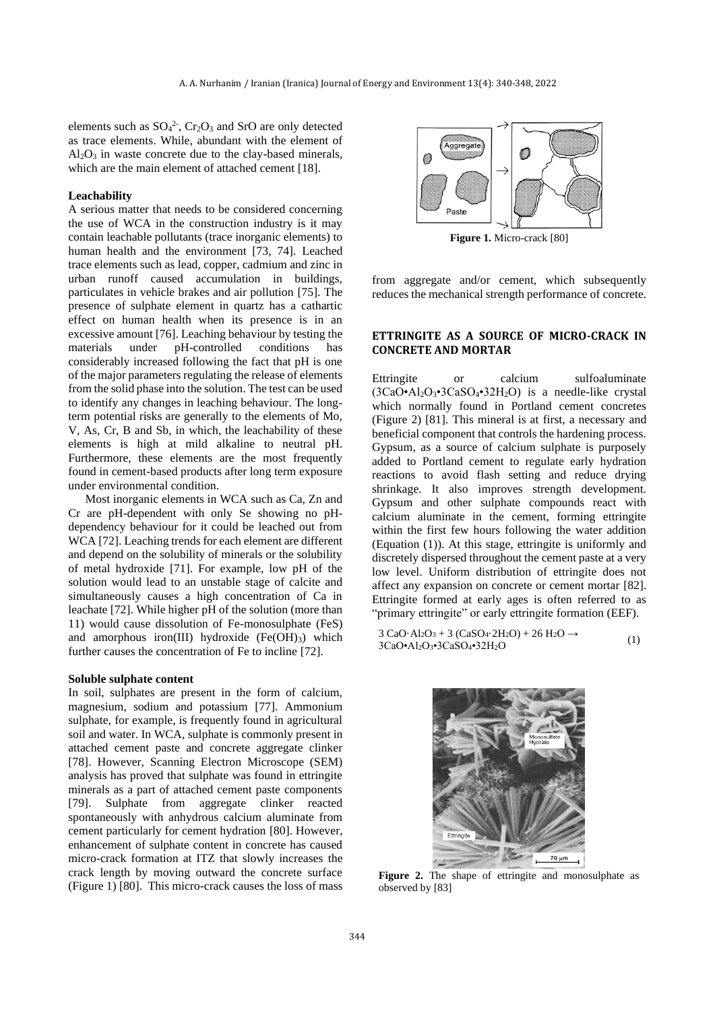elements such as  $SO_4^2$ ,  $Cr_2O_3$  and SrO are only detected as trace elements. While, abundant with the element of  $Al_2O_3$  in waste concrete due to the clay-based minerals, which are the main element of attached cement [18].

#### **Leachability**

A serious matter that needs to be considered concerning the use of WCA in the construction industry is it may contain leachable pollutants (trace inorganic elements) to human health and the environment [73, 74]. Leached trace elements such as lead, copper, cadmium and zinc in urban runoff caused accumulation in buildings, particulates in vehicle brakes and air pollution [75]. The presence of sulphate element in quartz has a cathartic effect on human health when its presence is in an excessive amount [76]. Leaching behaviour by testing the materials under pH-controlled conditions has considerably increased following the fact that pH is one of the major parameters regulating the release of elements from the solid phase into the solution. The test can be used to identify any changes in leaching behaviour. The longterm potential risks are generally to the elements of Mo, V, As, Cr, B and Sb, in which, the leachability of these elements is high at mild alkaline to neutral pH. Furthermore, these elements are the most frequently found in cement-based products after long term exposure under environmental condition.

Most inorganic elements in WCA such as Ca, Zn and Cr are pH-dependent with only Se showing no pHdependency behaviour for it could be leached out from WCA [72]. Leaching trends for each element are different and depend on the solubility of minerals or the solubility of metal hydroxide [71]. For example, low pH of the solution would lead to an unstable stage of calcite and simultaneously causes a high concentration of Ca in leachate [72]. While higher pH of the solution (more than 11) would cause dissolution of Fe-monosulphate (FeS) and amorphous iron(III) hydroxide  $(Fe(OH)<sub>3</sub>)$  which further causes the concentration of Fe to incline [72].

#### **Soluble sulphate content**

In soil, sulphates are present in the form of calcium, magnesium, sodium and potassium [77]. Ammonium sulphate, for example, is frequently found in agricultural soil and water. In WCA, sulphate is commonly present in attached cement paste and concrete aggregate clinker [78]. However, Scanning Electron Microscope (SEM) analysis has proved that sulphate was found in ettringite minerals as a part of attached cement paste components [79]. Sulphate from aggregate clinker reacted spontaneously with anhydrous calcium aluminate from cement particularly for cement hydration [80]. However, enhancement of sulphate content in concrete has caused micro-crack formation at ITZ that slowly increases the crack length by moving outward the concrete surface (Figure 1) [80]. This micro-crack causes the loss of mass



**Figure 1.** Micro-crack [80]

from aggregate and/or cement, which subsequently reduces the mechanical strength performance of concrete.

# **ETTRINGITE AS A SOURCE OF MICRO-CRACK IN CONCRETE AND MORTAR**

Ettringite or calcium sulfoaluminate  $(3CaO<sup>•</sup>A<sub>12</sub>O<sub>3</sub><sup>•</sup>3CaSO<sub>4</sub><sup>•</sup>32H<sub>2</sub>O)$  is a needle-like crystal which normally found in Portland cement concretes (Figure 2) [81]. This mineral is at first, a necessary and beneficial component that controls the hardening process. Gypsum, as a source of calcium sulphate is purposely added to Portland cement to regulate early hydration reactions to avoid flash setting and reduce drying shrinkage. It also improves strength development. Gypsum and other sulphate compounds react with calcium aluminate in the cement, forming ettringite within the first few hours following the water addition (Equation (1)). At this stage, ettringite is uniformly and discretely dispersed throughout the cement paste at a very low level. Uniform distribution of ettringite does not affect any expansion on concrete or cement mortar [82]. Ettringite formed at early ages is often referred to as "primary ettringite" or early ettringite formation (EEF).

3 CaO·Al<sub>2</sub>O<sub>3</sub> + 3 (CaSO<sub>4</sub>·2H<sub>2</sub>O) + 26 H<sub>2</sub>O  $\rightarrow$ 3CaO•Al2O3•3CaSO4•32H2O (1)



**Figure 2.** The shape of ettringite and monosulphate as observed by [83]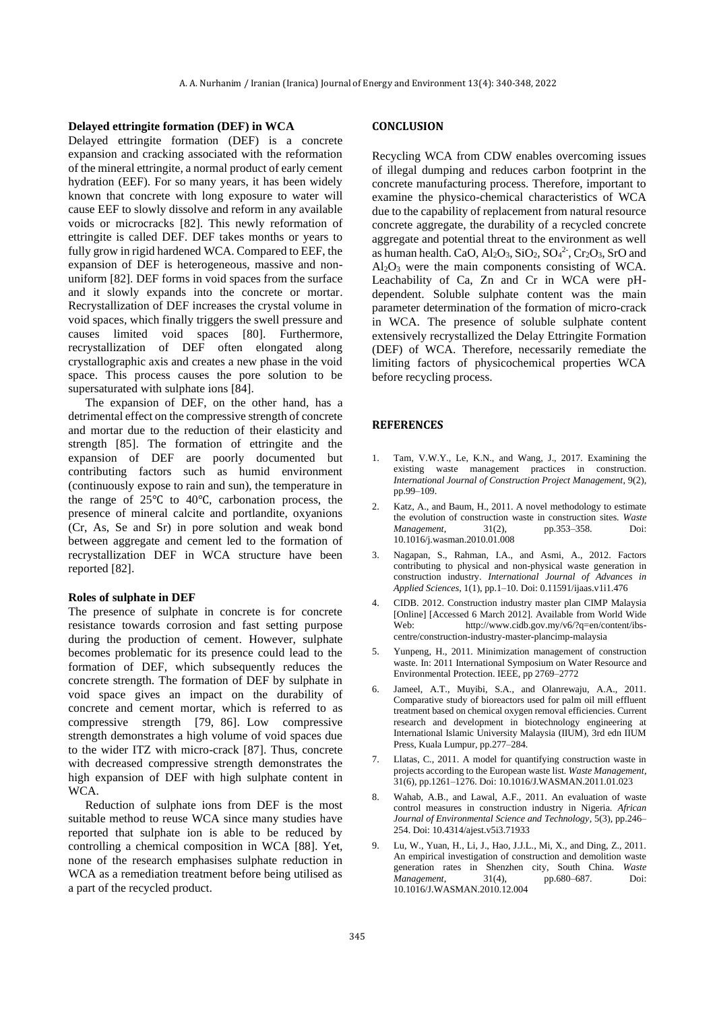#### **Delayed ettringite formation (DEF) in WCA**

Delayed ettringite formation (DEF) is a concrete expansion and cracking associated with the reformation of the mineral ettringite, a normal product of early cement hydration (EEF). For so many years, it has been widely known that concrete with long exposure to water will cause EEF to slowly dissolve and reform in any available voids or microcracks [82]. This newly reformation of ettringite is called DEF. DEF takes months or years to fully grow in rigid hardened WCA. Compared to EEF, the expansion of DEF is heterogeneous, massive and nonuniform [82]. DEF forms in void spaces from the surface and it slowly expands into the concrete or mortar. Recrystallization of DEF increases the crystal volume in void spaces, which finally triggers the swell pressure and causes limited void spaces [80]. Furthermore, recrystallization of DEF often elongated along crystallographic axis and creates a new phase in the void space. This process causes the pore solution to be supersaturated with sulphate ions [84].

The expansion of DEF, on the other hand, has a detrimental effect on the compressive strength of concrete and mortar due to the reduction of their elasticity and strength [85]. The formation of ettringite and the expansion of DEF are poorly documented but contributing factors such as humid environment (continuously expose to rain and sun), the temperature in the range of 25℃ to 40℃, carbonation process, the presence of mineral calcite and portlandite, oxyanions (Cr, As, Se and Sr) in pore solution and weak bond between aggregate and cement led to the formation of recrystallization DEF in WCA structure have been reported [82].

### **Roles of sulphate in DEF**

The presence of sulphate in concrete is for concrete resistance towards corrosion and fast setting purpose during the production of cement. However, sulphate becomes problematic for its presence could lead to the formation of DEF, which subsequently reduces the concrete strength. The formation of DEF by sulphate in void space gives an impact on the durability of concrete and cement mortar, which is referred to as compressive strength [79, 86]. Low compressive strength demonstrates a high volume of void spaces due to the wider ITZ with micro-crack [87]. Thus, concrete with decreased compressive strength demonstrates the high expansion of DEF with high sulphate content in WCA.

Reduction of sulphate ions from DEF is the most suitable method to reuse WCA since many studies have reported that sulphate ion is able to be reduced by controlling a chemical composition in WCA [88]. Yet, none of the research emphasises sulphate reduction in WCA as a remediation treatment before being utilised as a part of the recycled product.

### **CONCLUSION**

Recycling WCA from CDW enables overcoming issues of illegal dumping and reduces carbon footprint in the concrete manufacturing process. Therefore, important to examine the physico-chemical characteristics of WCA due to the capability of replacement from natural resource concrete aggregate, the durability of a recycled concrete aggregate and potential threat to the environment as well as human health. CaO,  $Al_2O_3$ ,  $SiO_2$ ,  $SO_4^2$ <sup>-</sup>,  $Cr_2O_3$ ,  $SrO$  and  $Al<sub>2</sub>O<sub>3</sub>$  were the main components consisting of WCA. Leachability of Ca, Zn and Cr in WCA were pHdependent. Soluble sulphate content was the main parameter determination of the formation of micro-crack in WCA. The presence of soluble sulphate content extensively recrystallized the Delay Ettringite Formation (DEF) of WCA. Therefore, necessarily remediate the limiting factors of physicochemical properties WCA before recycling process.

#### **REFERENCES**

- 1. Tam, V.W.Y., Le, K.N., and Wang, J., 2017. Examining the existing waste management practices in construction. *International Journal of Construction Project Management*, 9(2), pp.99–109.
- 2. Katz, A., and Baum, H., 2011. A novel methodology to estimate the evolution of construction waste in construction sites. *Waste Management*, 31(2), pp.353-358. 10.1016/j.wasman.2010.01.008
- 3. Nagapan, S., Rahman, I.A., and Asmi, A., 2012. Factors contributing to physical and non-physical waste generation in construction industry. *International Journal of Advances in Applied Sciences*, 1(1), pp.1–10. Doi: 0.11591/ijaas.v1i1.476
- 4. CIDB. 2012. Construction industry master plan CIMP Malaysia [Online] [Accessed 6 March 2012]. Available from World Wide Web: http://www.cidb.gov.my/v6/?q=en/content/ibscentre/construction-industry-master-plancimp-malaysia
- 5. Yunpeng, H., 2011. Minimization management of construction waste. In: 2011 International Symposium on Water Resource and Environmental Protection. IEEE, pp 2769–2772
- 6. Jameel, A.T., Muyibi, S.A., and Olanrewaju, A.A., 2011. Comparative study of bioreactors used for palm oil mill effluent treatment based on chemical oxygen removal efficiencies. Current research and development in biotechnology engineering at International Islamic University Malaysia (IIUM), 3rd edn IIUM Press, Kuala Lumpur, pp.277–284.
- 7. Llatas, C., 2011. A model for quantifying construction waste in projects according to the European waste list. *Waste Management*, 31(6), pp.1261–1276. Doi: 10.1016/J.WASMAN.2011.01.023
- 8. Wahab, A.B., and Lawal, A.F., 2011. An evaluation of waste control measures in construction industry in Nigeria. *African Journal of Environmental Science and Technology*, 5(3), pp.246– 254. Doi: 10.4314/ajest.v5i3.71933
- 9. Lu, W., Yuan, H., Li, J., Hao, J.J.L., Mi, X., and Ding, Z., 2011. An empirical investigation of construction and demolition waste generation rates in Shenzhen city, South China. *Waste Management*, 31(4), pp.680–687. Doi: 10.1016/J.WASMAN.2010.12.004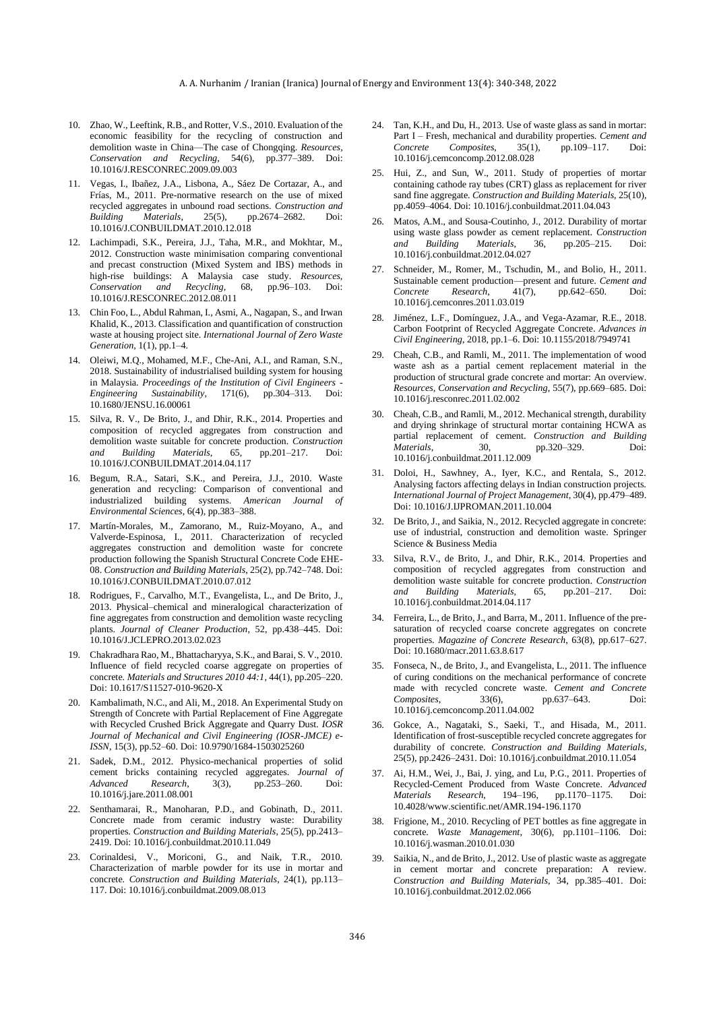- 10. Zhao, W., Leeftink, R.B., and Rotter, V.S., 2010. Evaluation of the economic feasibility for the recycling of construction and demolition waste in China—The case of Chongqing. *Resources, Conservation and Recycling*, 54(6), pp.377–389. Doi: 10.1016/J.RESCONREC.2009.09.003
- 11. Vegas, I., Ibañez, J.A., Lisbona, A., Sáez De Cortazar, A., and Frías, M., 2011. Pre-normative research on the use of mixed recycled aggregates in unbound road sections. *Construction and Building Materials*, 25(5), pp.2674–2682. Doi: 10.1016/J.CONBUILDMAT.2010.12.018
- 12. Lachimpadi, S.K., Pereira, J.J., Taha, M.R., and Mokhtar, M., 2012. Construction waste minimisation comparing conventional and precast construction (Mixed System and IBS) methods in high-rise buildings: A Malaysia case study. *Resources, Conservation and Recycling*, 68, pp.96–103. Doi: 10.1016/J.RESCONREC.2012.08.011
- 13. Chin Foo, L., Abdul Rahman, I., Asmi, A., Nagapan, S., and Irwan Khalid, K., 2013. Classification and quantification of construction waste at housing project site. *International Journal of Zero Waste Generation*, 1(1), pp.1–4.
- 14. Oleiwi, M.Q., Mohamed, M.F., Che-Ani, A.I., and Raman, S.N., 2018. Sustainability of industrialised building system for housing in Malaysia. *Proceedings of the Institution of Civil Engineers - Engineering Sustainability*, 171(6), pp.304–313. Doi: 10.1680/JENSU.16.00061
- 15. Silva, R. V., De Brito, J., and Dhir, R.K., 2014. Properties and composition of recycled aggregates from construction and demolition waste suitable for concrete production. *Construction and Building Materials*, 65, pp.201–217. Doi: 10.1016/J.CONBUILDMAT.2014.04.117
- 16. Begum, R.A., Satari, S.K., and Pereira, J.J., 2010. Waste generation and recycling: Comparison of conventional and industrialized building systems. *American Journal of Environmental Sciences*, 6(4), pp.383–388.
- 17. Martín-Morales, M., Zamorano, M., Ruiz-Moyano, A., and Valverde-Espinosa, I., 2011. Characterization of recycled aggregates construction and demolition waste for concrete production following the Spanish Structural Concrete Code EHE-08. *Construction and Building Materials*, 25(2), pp.742–748. Doi: 10.1016/J.CONBUILDMAT.2010.07.012
- 18. Rodrigues, F., Carvalho, M.T., Evangelista, L., and De Brito, J., 2013. Physical–chemical and mineralogical characterization of fine aggregates from construction and demolition waste recycling plants. *Journal of Cleaner Production*, 52, pp.438–445. Doi: 10.1016/J.JCLEPRO.2013.02.023
- 19. Chakradhara Rao, M., Bhattacharyya, S.K., and Barai, S. V., 2010. Influence of field recycled coarse aggregate on properties of concrete. *Materials and Structures 2010 44:1*, 44(1), pp.205–220. Doi: 10.1617/S11527-010-9620-X
- 20. Kambalimath, N.C., and Ali, M., 2018. An Experimental Study on Strength of Concrete with Partial Replacement of Fine Aggregate with Recycled Crushed Brick Aggregate and Quarry Dust. *IOSR Journal of Mechanical and Civil Engineering (IOSR-JMCE) e-ISSN*, 15(3), pp.52–60. Doi: 10.9790/1684-1503025260
- 21. Sadek, D.M., 2012. Physico-mechanical properties of solid cement bricks containing recycled aggregates. *Journal of Advanced Research*, 3(3), pp.253–260. Doi: 10.1016/j.jare.2011.08.001
- 22. Senthamarai, R., Manoharan, P.D., and Gobinath, D., 2011. Concrete made from ceramic industry waste: Durability properties. *Construction and Building Materials*, 25(5), pp.2413– 2419. Doi: 10.1016/j.conbuildmat.2010.11.049
- 23. Corinaldesi, V., Moriconi, G., and Naik, T.R., 2010. Characterization of marble powder for its use in mortar and concrete. *Construction and Building Materials*, 24(1), pp.113– 117. Doi: 10.1016/j.conbuildmat.2009.08.013
- 24. Tan, K.H., and Du, H., 2013. Use of waste glass as sand in mortar: Part I – Fresh, mechanical and durability properties. *Cement and Concrete Composites*, 35(1), pp.109–117. Doi: 10.1016/j.cemconcomp.2012.08.028
- 25. Hui, Z., and Sun, W., 2011. Study of properties of mortar containing cathode ray tubes (CRT) glass as replacement for river sand fine aggregate. *Construction and Building Materials*, 25(10), pp.4059–4064. Doi: 10.1016/j.conbuildmat.2011.04.043
- 26. Matos, A.M., and Sousa-Coutinho, J., 2012. Durability of mortar using waste glass powder as cement replacement. *Construction and Building Materials*, 36, pp.205–215. Doi: 10.1016/j.conbuildmat.2012.04.027
- 27. Schneider, M., Romer, M., Tschudin, M., and Bolio, H., 2011. Sustainable cement production—present and future. *Cement and Concrete Research*, 41(7), pp.642–650. Doi: 10.1016/j.cemconres.2011.03.019
- 28. Jiménez, L.F., Domínguez, J.A., and Vega-Azamar, R.E., 2018. Carbon Footprint of Recycled Aggregate Concrete. *Advances in Civil Engineering*, 2018, pp.1–6. Doi: 10.1155/2018/7949741
- 29. Cheah, C.B., and Ramli, M., 2011. The implementation of wood waste ash as a partial cement replacement material in the production of structural grade concrete and mortar: An overview. *Resources, Conservation and Recycling*, 55(7), pp.669–685. Doi: 10.1016/j.resconrec.2011.02.002
- 30. Cheah, C.B., and Ramli, M., 2012. Mechanical strength, durability and drying shrinkage of structural mortar containing HCWA as partial replacement of cement. *Construction and Building Materials*, 30, pp.320–329. Doi: 10.1016/j.conbuildmat.2011.12.009
- 31. Doloi, H., Sawhney, A., Iyer, K.C., and Rentala, S., 2012. Analysing factors affecting delays in Indian construction projects. *International Journal of Project Management*, 30(4), pp.479–489. Doi: 10.1016/J.IJPROMAN.2011.10.004
- 32. De Brito, J., and Saikia, N., 2012. Recycled aggregate in concrete: use of industrial, construction and demolition waste. Springer Science & Business Media
- 33. Silva, R.V., de Brito, J., and Dhir, R.K., 2014. Properties and composition of recycled aggregates from construction and demolition waste suitable for concrete production. *Construction and Building Materials*, 65, pp.201–217. Doi: 10.1016/j.conbuildmat.2014.04.117
- 34. Ferreira, L., de Brito, J., and Barra, M., 2011. Influence of the presaturation of recycled coarse concrete aggregates on concrete properties. *Magazine of Concrete Research*, 63(8), pp.617–627. Doi: 10.1680/macr.2011.63.8.617
- 35. Fonseca, N., de Brito, J., and Evangelista, L., 2011. The influence of curing conditions on the mechanical performance of concrete made with recycled concrete waste. *Cement and Concrete Composites*, 33(6), pp.637–643. Doi: 10.1016/j.cemconcomp.2011.04.002
- 36. Gokce, A., Nagataki, S., Saeki, T., and Hisada, M., 2011. Identification of frost-susceptible recycled concrete aggregates for durability of concrete. *Construction and Building Materials*, 25(5), pp.2426–2431. Doi: 10.1016/j.conbuildmat.2010.11.054
- 37. Ai, H.M., Wei, J., Bai, J. ying, and Lu, P.G., 2011. Properties of Recycled-Cement Produced from Waste Concrete. *Advanced Materials Research*, 194–196, pp.1170–1175. Doi: 10.4028/www.scientific.net/AMR.194-196.1170
- 38. Frigione, M., 2010. Recycling of PET bottles as fine aggregate in concrete. *Waste Management*, 30(6), pp.1101–1106. Doi: 10.1016/j.wasman.2010.01.030
- 39. Saikia, N., and de Brito, J., 2012. Use of plastic waste as aggregate in cement mortar and concrete preparation: A review. *Construction and Building Materials*, 34, pp.385–401. Doi: 10.1016/j.conbuildmat.2012.02.066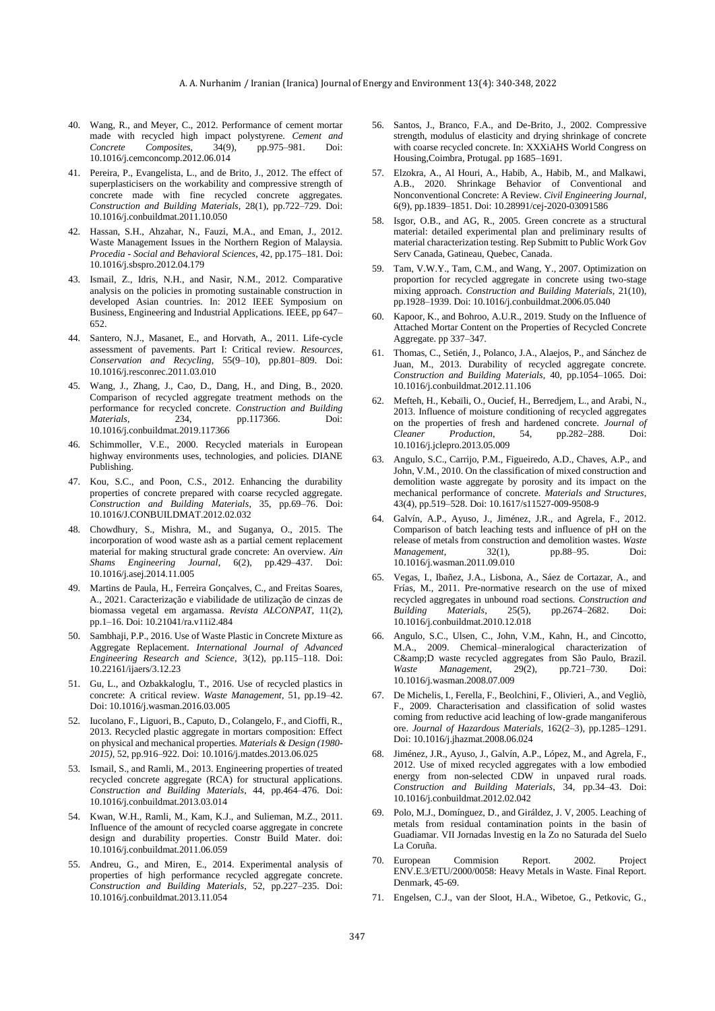- 40. Wang, R., and Meyer, C., 2012. Performance of cement mortar made with recycled high impact polystyrene. *Cement and Concrete Composites*, 34(9), pp.975–981. Doi: 10.1016/j.cemconcomp.2012.06.014
- 41. Pereira, P., Evangelista, L., and de Brito, J., 2012. The effect of superplasticisers on the workability and compressive strength of concrete made with fine recycled concrete aggregates. *Construction and Building Materials*, 28(1), pp.722–729. Doi: 10.1016/j.conbuildmat.2011.10.050
- 42. Hassan, S.H., Ahzahar, N., Fauzi, M.A., and Eman, J., 2012. Waste Management Issues in the Northern Region of Malaysia. *Procedia - Social and Behavioral Sciences*, 42, pp.175–181. Doi: 10.1016/j.sbspro.2012.04.179
- 43. Ismail, Z., Idris, N.H., and Nasir, N.M., 2012. Comparative analysis on the policies in promoting sustainable construction in developed Asian countries. In: 2012 IEEE Symposium on Business, Engineering and Industrial Applications. IEEE, pp 647– 652.
- 44. Santero, N.J., Masanet, E., and Horvath, A., 2011. Life-cycle assessment of pavements. Part I: Critical review. *Resources, Conservation and Recycling*, 55(9–10), pp.801–809. Doi: 10.1016/j.resconrec.2011.03.010
- 45. Wang, J., Zhang, J., Cao, D., Dang, H., and Ding, B., 2020. Comparison of recycled aggregate treatment methods on the performance for recycled concrete. *Construction and Building Materials*, 234, pp.117366. Doi: 10.1016/j.conbuildmat.2019.117366
- 46. Schimmoller, V.E., 2000. Recycled materials in European highway environments uses, technologies, and policies. DIANE Publishing.
- 47. Kou, S.C., and Poon, C.S., 2012. Enhancing the durability properties of concrete prepared with coarse recycled aggregate. *Construction and Building Materials*, 35, pp.69–76. Doi: 10.1016/J.CONBUILDMAT.2012.02.032
- 48. Chowdhury, S., Mishra, M., and Suganya, O., 2015. The incorporation of wood waste ash as a partial cement replacement material for making structural grade concrete: An overview. *Ain Shams Engineering Journal*, 6(2), pp.429–437. Doi: 10.1016/j.asej.2014.11.005
- 49. Martins de Paula, H., Ferreira Gonçalves, C., and Freitas Soares, A., 2021. Caracterização e viabilidade de utilização de cinzas de biomassa vegetal em argamassa. *Revista ALCONPAT*, 11(2), pp.1–16. Doi: 10.21041/ra.v11i2.484
- 50. Sambhaji, P.P., 2016. Use of Waste Plastic in Concrete Mixture as Aggregate Replacement. *International Journal of Advanced Engineering Research and Science*, 3(12), pp.115–118. Doi: 10.22161/ijaers/3.12.23
- 51. Gu, L., and Ozbakkaloglu, T., 2016. Use of recycled plastics in concrete: A critical review. *Waste Management*, 51, pp.19–42. Doi: 10.1016/j.wasman.2016.03.005
- 52. Iucolano, F., Liguori, B., Caputo, D., Colangelo, F., and Cioffi, R., 2013. Recycled plastic aggregate in mortars composition: Effect on physical and mechanical properties. *Materials & Design (1980- 2015)*, 52, pp.916–922. Doi: 10.1016/j.matdes.2013.06.025
- 53. Ismail, S., and Ramli, M., 2013. Engineering properties of treated recycled concrete aggregate (RCA) for structural applications. *Construction and Building Materials*, 44, pp.464–476. Doi: 10.1016/j.conbuildmat.2013.03.014
- 54. Kwan, W.H., Ramli, M., Kam, K.J., and Sulieman, M.Z., 2011. Influence of the amount of recycled coarse aggregate in concrete design and durability properties. Constr Build Mater. doi: 10.1016/j.conbuildmat.2011.06.059
- 55. Andreu, G., and Miren, E., 2014. Experimental analysis of properties of high performance recycled aggregate concrete. *Construction and Building Materials*, 52, pp.227–235. Doi: 10.1016/j.conbuildmat.2013.11.054
- 56. Santos, J., Branco, F.A., and De-Brito, J., 2002. Compressive strength, modulus of elasticity and drying shrinkage of concrete with coarse recycled concrete. In: XXXiAHS World Congress on Housing,Coimbra, Protugal. pp 1685–1691.
- 57. Elzokra, A., Al Houri, A., Habib, A., Habib, M., and Malkawi, A.B., 2020. Shrinkage Behavior of Conventional and Nonconventional Concrete: A Review. *Civil Engineering Journal*, 6(9), pp.1839–1851. Doi: 10.28991/cej-2020-03091586
- 58. Isgor, O.B., and AG, R., 2005. Green concrete as a structural material: detailed experimental plan and preliminary results of material characterization testing. Rep Submitt to Public Work Gov Serv Canada, Gatineau, Quebec, Canada.
- 59. Tam, V.W.Y., Tam, C.M., and Wang, Y., 2007. Optimization on proportion for recycled aggregate in concrete using two-stage mixing approach. *Construction and Building Materials*, 21(10), pp.1928–1939. Doi: 10.1016/j.conbuildmat.2006.05.040
- 60. Kapoor, K., and Bohroo, A.U.R., 2019. Study on the Influence of Attached Mortar Content on the Properties of Recycled Concrete Aggregate. pp 337–347.
- 61. Thomas, C., Setién, J., Polanco, J.A., Alaejos, P., and Sánchez de Juan, M., 2013. Durability of recycled aggregate concrete. *Construction and Building Materials*, 40, pp.1054–1065. Doi: 10.1016/j.conbuildmat.2012.11.106
- 62. Mefteh, H., Kebaïli, O., Oucief, H., Berredjem, L., and Arabi, N., 2013. Influence of moisture conditioning of recycled aggregates on the properties of fresh and hardened concrete. *Journal of Cleaner Production*, 54, pp.282–288. Doi: 10.1016/j.jclepro.2013.05.009
- 63. Angulo, S.C., Carrijo, P.M., Figueiredo, A.D., Chaves, A.P., and John, V.M., 2010. On the classification of mixed construction and demolition waste aggregate by porosity and its impact on the mechanical performance of concrete. *Materials and Structures*, 43(4), pp.519–528. Doi: 10.1617/s11527-009-9508-9
- 64. Galvín, A.P., Ayuso, J., Jiménez, J.R., and Agrela, F., 2012. Comparison of batch leaching tests and influence of pH on the release of metals from construction and demolition wastes. *Waste Management*, 32(1), pp.88–95. Doi: 10.1016/j.wasman.2011.09.010
- 65. Vegas, I., Ibañez, J.A., Lisbona, A., Sáez de Cortazar, A., and Frías, M., 2011. Pre-normative research on the use of mixed recycled aggregates in unbound road sections. *Construction and Building Materials*, 25(5), pp.2674–2682. Doi: 10.1016/j.conbuildmat.2010.12.018
- 66. Angulo, S.C., Ulsen, C., John, V.M., Kahn, H., and Cincotto, M.A., 2009. Chemical–mineralogical characterization of C&D waste recycled aggregates from São Paulo, Brazil.<br> *Waste Management*, 29(2), pp.721-730. Doi: *Waste Management*, 29(2), pp.721–730. Doi: 10.1016/j.wasman.2008.07.009
- 67. De Michelis, I., Ferella, F., Beolchini, F., Olivieri, A., and Vegliò, F., 2009. Characterisation and classification of solid wastes coming from reductive acid leaching of low-grade manganiferous ore. *Journal of Hazardous Materials*, 162(2–3), pp.1285–1291. Doi: 10.1016/j.jhazmat.2008.06.024
- 68. Jiménez, J.R., Ayuso, J., Galvín, A.P., López, M., and Agrela, F., 2012. Use of mixed recycled aggregates with a low embodied energy from non-selected CDW in unpaved rural roads. *Construction and Building Materials*, 34, pp.34–43. Doi: 10.1016/j.conbuildmat.2012.02.042
- 69. Polo, M.J., Domínguez, D., and Giráldez, J. V, 2005. Leaching of metals from residual contamination points in the basin of Guadiamar. VII Jornadas Investig en la Zo no Saturada del Suelo La Coruña.
- 70. European Commision Report. 2002. Project ENV.E.3/ETU/2000/0058: Heavy Metals in Waste. Final Report. Denmark, 45-69.
- 71. Engelsen, C.J., van der Sloot, H.A., Wibetoe, G., Petkovic, G.,